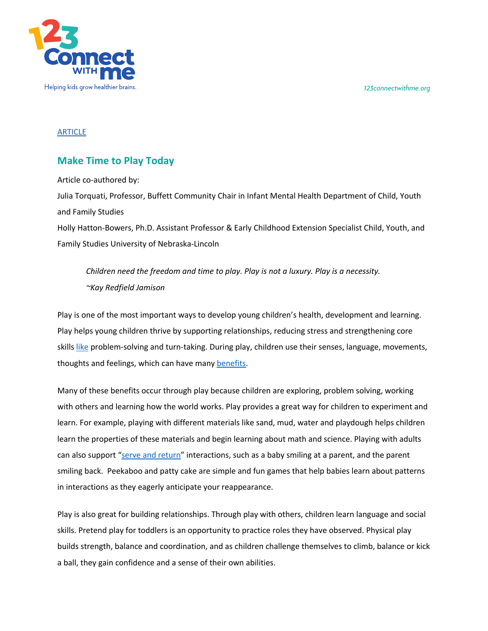*123connectwithme.org*



## ARTICLE

## **Make Time to Play Today**

Article co-authored by: Julia Torquati, Professor, Buffett Community Chair in Infant Mental Health Department of Child, Youth and Family Studies Holly Hatton-Bowers, Ph.D. Assistant Professor & Early Childhood Extension Specialist Child, Youth, and Family Studies University of Nebraska-Lincoln

*Children need the freedom and time to play. Play is not a luxury. Play is a necessity. ~Kay Redfield Jamison*

Play is one of the most important ways to develop young children's health, development and learning. Play helps young children thrive by supporting relationships, reducing stress and strengthening core skills like problem-solving and turn-taking. During play, children use their senses, language, movements, thoughts and feelings, which can have many benefits.

Many of these benefits occur through play because children are exploring, problem solving, working with others and learning how the world works. Play provides a great way for children to experiment and learn. For example, playing with different materials like sand, mud, water and playdough helps children learn the properties of these materials and begin learning about math and science. Playing with adults can also support "serve and return" interactions, such as a baby smiling at a parent, and the parent smiling back. Peekaboo and patty cake are simple and fun games that help babies learn about patterns in interactions as they eagerly anticipate your reappearance.

Play is also great for building relationships. Through play with others, children learn language and social skills. Pretend play for toddlers is an opportunity to practice roles they have observed. Physical play builds strength, balance and coordination, and as children challenge themselves to climb, balance or kick a ball, they gain confidence and a sense of their own abilities.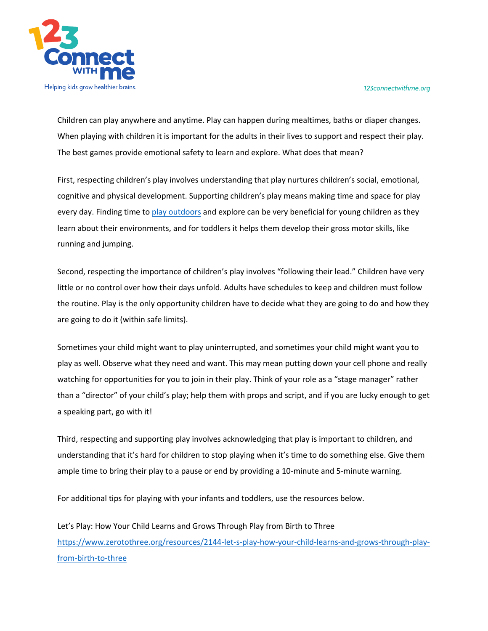*123connectwithme.org*



Children can play anywhere and anytime. Play can happen during mealtimes, baths or diaper changes. When playing with children it is important for the adults in their lives to support and respect their play. The best games provide emotional safety to learn and explore. What does that mean?

First, respecting children's play involves understanding that play nurtures children's social, emotional, cognitive and physical development. Supporting children's play means making time and space for play every day. Finding time to play outdoors and explore can be very beneficial for young children as they learn about their environments, and for toddlers it helps them develop their gross motor skills, like running and jumping.

Second, respecting the importance of children's play involves "following their lead." Children have very little or no control over how their days unfold. Adults have schedules to keep and children must follow the routine. Play is the only opportunity children have to decide what they are going to do and how they are going to do it (within safe limits).

Sometimes your child might want to play uninterrupted, and sometimes your child might want you to play as well. Observe what they need and want. This may mean putting down your cell phone and really watching for opportunities for you to join in their play. Think of your role as a "stage manager" rather than a "director" of your child's play; help them with props and script, and if you are lucky enough to get a speaking part, go with it!

Third, respecting and supporting play involves acknowledging that play is important to children, and understanding that it's hard for children to stop playing when it's time to do something else. Give them ample time to bring their play to a pause or end by providing a 10-minute and 5-minute warning.

For additional tips for playing with your infants and toddlers, use the resources below.

Let's Play: How Your Child Learns and Grows Through Play from Birth to Three https://www.zerotothree.org/resources/2144-let-s-play-how-your-child-learns-and-grows-through-playfrom-birth-to-three